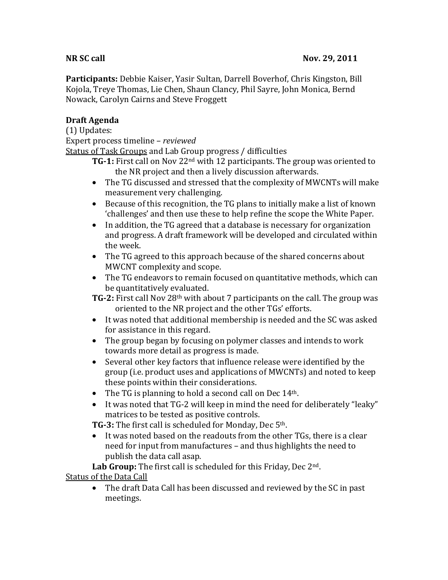Participants: Debbie Kaiser, Yasir Sultan, Darrell Boverhof, Chris Kingston, Bill Kojola, Treye Thomas, Lie Chen, Shaun Clancy, Phil Sayre, John Monica, Bernd Nowack, Carolyn Cairns and Steve Froggett

## **Draft Agenda**

 $(1)$  Updates: Expert process timeline – *reviewed* Status of Task Groups and Lab Group progress / difficulties

- **TG-1:** First call on Nov 22<sup>nd</sup> with 12 participants. The group was oriented to the NR project and then a lively discussion afterwards.
- The TG discussed and stressed that the complexity of MWCNTs will make measurement very challenging.
- Because of this recognition, the TG plans to initially make a list of known 'challenges' and then use these to help refine the scope the White Paper.
- In addition, the TG agreed that a database is necessary for organization and progress. A draft framework will be developed and circulated within the week.
- The TG agreed to this approach because of the shared concerns about MWCNT complexity and scope.
- The TG endeavors to remain focused on quantitative methods, which can be quantitatively evaluated.
- **TG-2:** First call Nov 28<sup>th</sup> with about 7 participants on the call. The group was oriented to the NR project and the other TGs' efforts.
- It was noted that additional membership is needed and the SC was asked for assistance in this regard.
- The group began by focusing on polymer classes and intends to work towards more detail as progress is made.
- Several other key factors that influence release were identified by the group (i.e. product uses and applications of MWCNTs) and noted to keep these points within their considerations.
- The TG is planning to hold a second call on Dec  $14<sup>th</sup>$ .
- It was noted that TG-2 will keep in mind the need for deliberately "leaky" matrices to be tested as positive controls.

**TG-3:** The first call is scheduled for Monday, Dec 5<sup>th</sup>.

• It was noted based on the readouts from the other TGs, there is a clear need for input from manufactures – and thus highlights the need to publish the data call asap.

Lab Group: The first call is scheduled for this Friday, Dec 2<sup>nd</sup>. Status of the Data Call

• The draft Data Call has been discussed and reviewed by the SC in past meetings.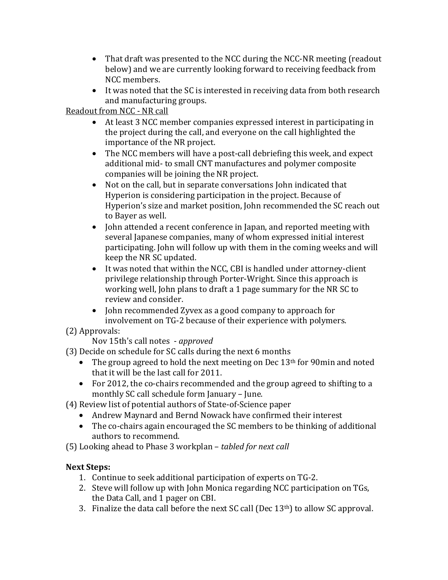- That draft was presented to the NCC during the NCC-NR meeting (readout) below) and we are currently looking forward to receiving feedback from NCC members.
- It was noted that the SC is interested in receiving data from both research and manufacturing groups.

Readout from NCC - NR call

- At least 3 NCC member companies expressed interest in participating in the project during the call, and everyone on the call highlighted the importance of the NR project.
- The NCC members will have a post-call debriefing this week, and expect additional mid- to small CNT manufactures and polymer composite companies will be joining the NR project.
- Not on the call, but in separate conversations John indicated that Hyperion is considering participation in the project. Because of Hyperion's size and market position, John recommended the SC reach out to Bayer as well.
- John attended a recent conference in Japan, and reported meeting with  $\blacksquare$ several Japanese companies, many of whom expressed initial interest participating. John will follow up with them in the coming weeks and will keep the NR SC updated.
- $\bullet$  It was noted that within the NCC, CBI is handled under attorney-client privilege relationship through Porter-Wright. Since this approach is working well, John plans to draft a 1 page summary for the NR SC to review and consider.
- John recommended Zyvex as a good company to approach for involvement on TG-2 because of their experience with polymers.
- (2) Approvals:

Nov 15th's call notes - *approved* 

(3) Decide on schedule for SC calls during the next 6 months

- The group agreed to hold the next meeting on Dec  $13<sup>th</sup>$  for 90min and noted that it will be the last call for 2011.
- For 2012, the co-chairs recommended and the group agreed to shifting to a monthly SC call schedule form January – June.

(4) Review list of potential authors of State-of-Science paper

- Andrew Maynard and Bernd Nowack have confirmed their interest
- The co-chairs again encouraged the SC members to be thinking of additional authors to recommend.

(5) Looking ahead to Phase 3 workplan – *tabled for next call* 

## **Next Steps:**

- 1. Continue to seek additional participation of experts on TG-2.
- 2. Steve will follow up with John Monica regarding NCC participation on TGs, the Data Call, and 1 pager on CBI.
- 3. Finalize the data call before the next SC call (Dec  $13<sup>th</sup>$ ) to allow SC approval.